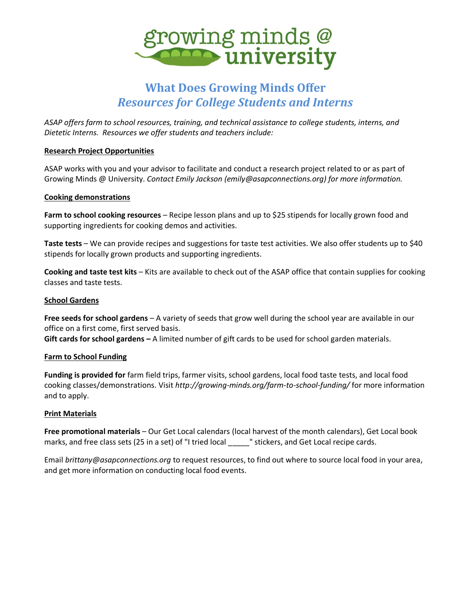

# **What Does Growing Minds Offer** *Resources for College Students and Interns*

*ASAP offers farm to school resources, training, and technical assistance to college students, interns, and Dietetic Interns. Resources we offer students and teachers include:*

## **Research Project Opportunities**

ASAP works with you and your advisor to facilitate and conduct a research project related to or as part of Growing Minds @ University. *Contact Emily Jackson (emily@asapconnections.org) for more information.*

## **Cooking demonstrations**

**Farm to school cooking resources** – Recipe lesson plans and up to \$25 stipends for locally grown food and supporting ingredients for cooking demos and activities.

**Taste tests** – We can provide recipes and suggestions for taste test activities. We also offer students up to \$40 stipends for locally grown products and supporting ingredients.

**Cooking and taste test kits** – Kits are available to check out of the ASAP office that contain supplies for cooking classes and taste tests.

## **School Gardens**

**Free seeds for school gardens** – A variety of seeds that grow well during the school year are available in our office on a first come, first served basis.

**Gift cards for school gardens –** A limited number of gift cards to be used for school garden materials.

## **Farm to School Funding**

**Funding is provided for** farm field trips, farmer visits, school gardens, local food taste tests, and local food cooking classes/demonstrations. Visit *<http://growing-minds.org/farm-to-school-funding/>* for more information and to apply.

## **Print Materials**

**[Free promotional materials](http://growing-minds.org/get-local-school-materials/)** – Our Get Local calendars (local harvest of the month calendars), Get Local book marks, and free class sets (25 in a set) of "I tried local \_\_\_\_\_" stickers, and Get Local recipe cards.

Email *[brittany@asapconnections.org](mailto:brittany@asapconnections.org)* to request resources, to find out where to source local food in your area, and get more information on conducting local food events.